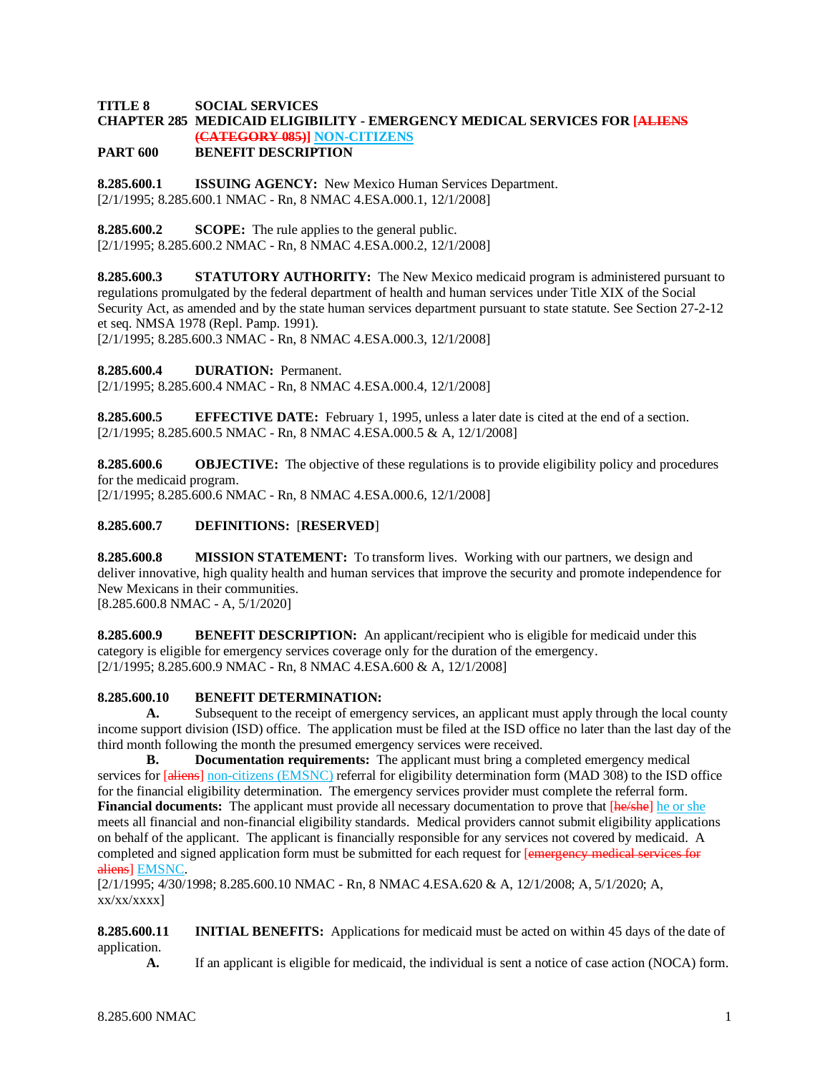#### **TITLE 8 SOCIAL SERVICES CHAPTER 285 MEDICAID ELIGIBILITY - EMERGENCY MEDICAL SERVICES FOR [ALIENS (CATEGORY 085)] NON-CITIZENS**

#### **PART 600 BENEFIT DESCRIPTION**

**8.285.600.1 ISSUING AGENCY:** New Mexico Human Services Department. [2/1/1995; 8.285.600.1 NMAC - Rn, 8 NMAC 4.ESA.000.1, 12/1/2008]

**8.285.600.2 SCOPE:** The rule applies to the general public.

[2/1/1995; 8.285.600.2 NMAC - Rn, 8 NMAC 4.ESA.000.2, 12/1/2008]

**8.285.600.3 STATUTORY AUTHORITY:** The New Mexico medicaid program is administered pursuant to regulations promulgated by the federal department of health and human services under Title XIX of the Social Security Act, as amended and by the state human services department pursuant to state statute. See Section 27-2-12 et seq. NMSA 1978 (Repl. Pamp. 1991).

[2/1/1995; 8.285.600.3 NMAC - Rn, 8 NMAC 4.ESA.000.3, 12/1/2008]

**8.285.600.4 DURATION:** Permanent.

[2/1/1995; 8.285.600.4 NMAC - Rn, 8 NMAC 4.ESA.000.4, 12/1/2008]

**8.285.600.5 EFFECTIVE DATE:** February 1, 1995, unless a later date is cited at the end of a section. [2/1/1995; 8.285.600.5 NMAC - Rn, 8 NMAC 4.ESA.000.5 & A, 12/1/2008]

**8.285.600.6 OBJECTIVE:** The objective of these regulations is to provide eligibility policy and procedures for the medicaid program.

[2/1/1995; 8.285.600.6 NMAC - Rn, 8 NMAC 4.ESA.000.6, 12/1/2008]

# **8.285.600.7 DEFINITIONS:** [**RESERVED**]

**8.285.600.8 MISSION STATEMENT:** To transform lives. Working with our partners, we design and deliver innovative, high quality health and human services that improve the security and promote independence for New Mexicans in their communities. [8.285.600.8 NMAC - A, 5/1/2020]

**8.285.600.9 BENEFIT DESCRIPTION:** An applicant/recipient who is eligible for medicaid under this category is eligible for emergency services coverage only for the duration of the emergency.

[2/1/1995; 8.285.600.9 NMAC - Rn, 8 NMAC 4.ESA.600 & A, 12/1/2008]

# **8.285.600.10 BENEFIT DETERMINATION:**

**A.** Subsequent to the receipt of emergency services, an applicant must apply through the local county income support division (ISD) office. The application must be filed at the ISD office no later than the last day of the third month following the month the presumed emergency services were received.

**B. Documentation requirements:** The applicant must bring a completed emergency medical services for [aliens] non-citizens (EMSNC) referral for eligibility determination form (MAD 308) to the ISD office for the financial eligibility determination. The emergency services provider must complete the referral form. **Financial documents:** The applicant must provide all necessary documentation to prove that  $[he/she]$  he or she meets all financial and non-financial eligibility standards. Medical providers cannot submit eligibility applications on behalf of the applicant. The applicant is financially responsible for any services not covered by medicaid. A completed and signed application form must be submitted for each request for [emergency medical services for aliens] EMSNC.

[2/1/1995; 4/30/1998; 8.285.600.10 NMAC - Rn, 8 NMAC 4.ESA.620 & A, 12/1/2008; A, 5/1/2020; A,  $xx/xx/xxxx$ ]

**8.285.600.11 INITIAL BENEFITS:** Applications for medicaid must be acted on within 45 days of the date of application.

**A.** If an applicant is eligible for medicaid, the individual is sent a notice of case action (NOCA) form.